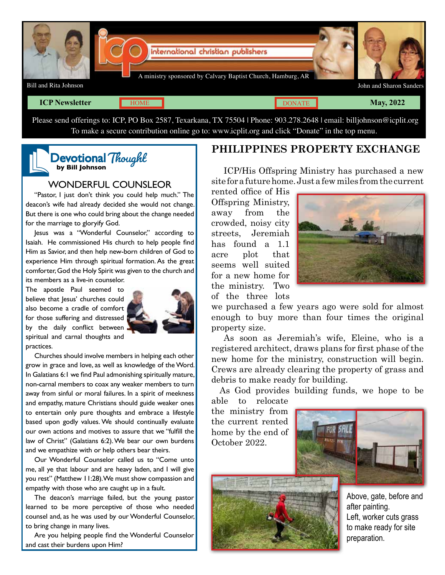

## **ICP Newsletter May, 2022 May, 2022**

**[DONATE](http://4134075.shop.netsuite.com/s.nl/c.4134075/sc.37/.f)** 

Please send offerings to: ICP, PO Box 2587, Texarkana, TX 75504 | Phone: 903.278.2648 | email: billjohnson@icplit.org To make a secure contribution online go to: www.icplit.org and click "Donate" in the top menu.

## Devotional<sup>®</sup> **by Bill Johnson** Thought

## WONDERFUL COUNSLEOR

"Pastor, I just don't think you could help much." The deacon's wife had already decided she would not change. But there is one who could bring about the change needed for the marriage to gloryify God.

Jesus was a "Wonderful Counselor," according to Isaiah. He commissioned His church to help people find Him as Savior, and then help new-born children of God to experience Him through spiritual formation. As the great comforter, God the Holy Spirit was given to the church and its members as a live-in counselor.

The apostle Paul seemed to believe that lesus' churches could also become a cradle of comfort for those suffering and distressed by the daily conflict between spiritual and carnal thoughts and practices.



Churches should involve members in helping each other grow in grace and love, as well as knowledge of the Word. In Galatians 6:1 we find Paul admonishing spiritually mature, non-carnal members to coax any weaker members to turn away from sinful or moral failures. In a spirit of meekness and empathy, mature Christians should guide weaker ones to entertain only pure thoughts and embrace a lifestyle based upon godly values. We should continually evaluate our own actions and motives to assure that we "fulfill the law of Christ" (Galatians 6:2). We bear our own burdens and we empathize with or help others bear theirs.

Our Wonderful Counselor called us to "Come unto me, all ye that labour and are heavy laden, and I will give you rest" (Matthew 11:28). We must show compassion and empathy with those who are caught up in a fault.

The deacon's marriage failed, but the young pastor learned to be more perceptive of those who needed counsel and, as he was used by our Wonderful Counselor, to bring change in many lives.

Are you helping people find the Wonderful Counselor and cast their burdens upon Him?

## **PHILIPPINES PROPERTY EXCHANGE**

ICP/His Offspring Ministry has purchased a new site for a future home. Just a few miles from the current

rented office of His Offspring Ministry, away from the crowded, noisy city streets, Jeremiah has found a 1.1 acre plot that seems well suited for a new home for the ministry. Two of the three lots



we purchased a few years ago were sold for almost enough to buy more than four times the original property size.

As soon as Jeremiah's wife, Eleine, who is a registered architect, draws plans for first phase of the new home for the ministry, construction will begin. Crews are already clearing the property of grass and debris to make ready for building.

As God provides building funds, we hope to be

able to relocate the ministry from the current rented home by the end of October 2022.





Above, gate, before and after painting. Left, worker cuts grass to make ready for site preparation.